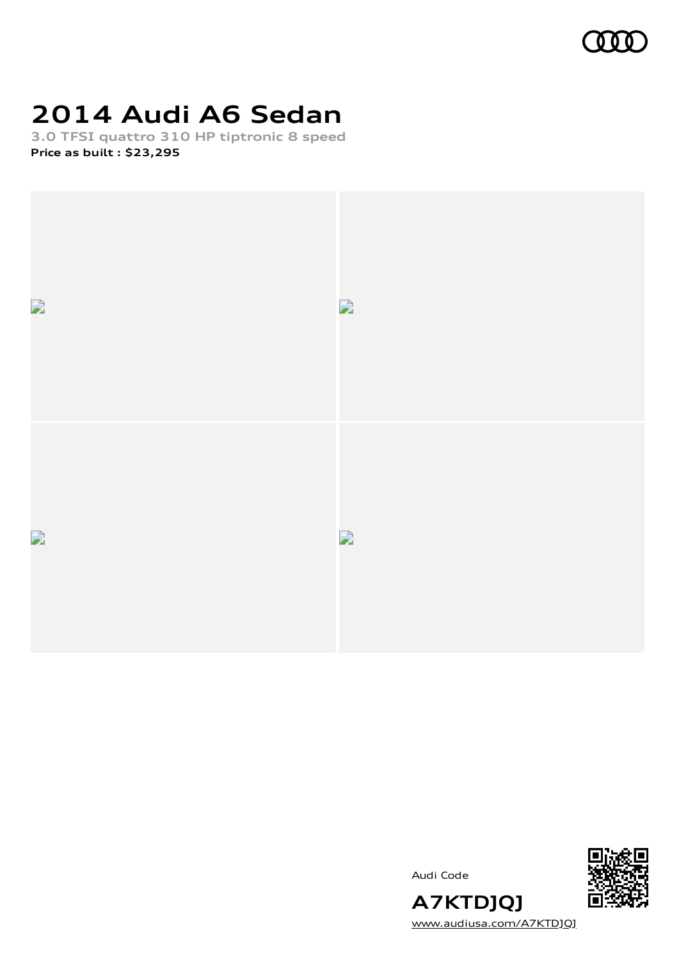

# **2014 Audi A6 Sedan**

**3.0 TFSI quattro 310 HP tiptronic 8 speed Price as built [:](#page-11-0) \$23,295**



Audi Code



**A7KTDJQJ** [www.audiusa.com/A7KTDJQJ](https://www.audiusa.com/A7KTDJQJ)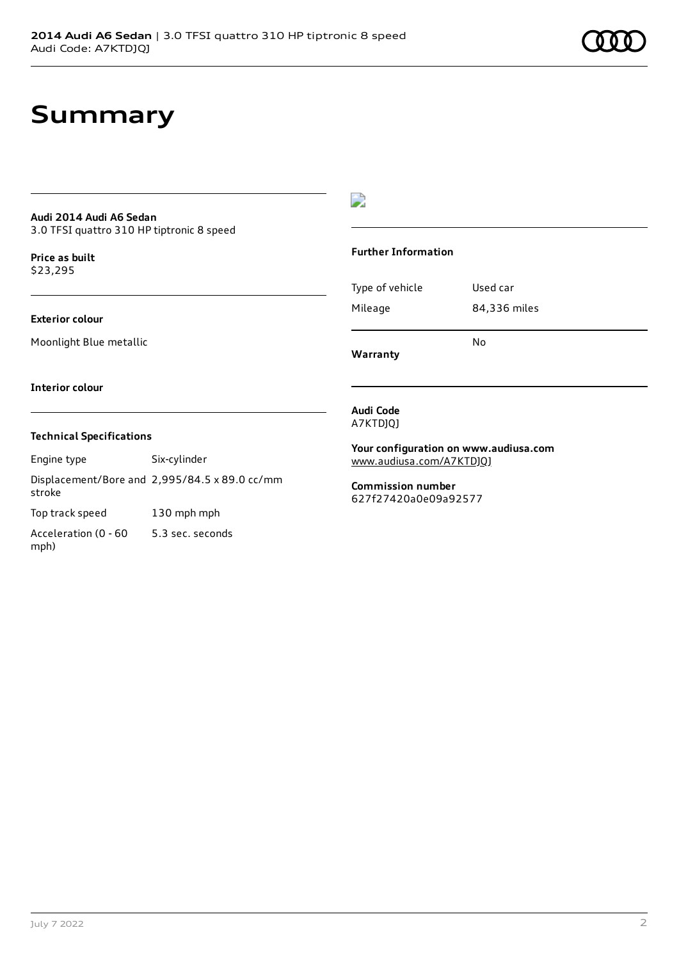## **Summary**

#### **Audi 2014 Audi A6 Sedan** 3.0 TFSI quattro 310 HP tiptronic 8 speed

**Price as buil[t](#page-11-0)** \$23,295

#### **Exterior colour**

Moonlight Blue metallic

#### $\overline{\phantom{a}}$

#### **Further Information**

Type of vehicle Used car Mileage 84,336 miles

**Warranty**

#### **Interior colour**

#### **Technical Specifications**

Engine type Six-cylinder

Displacement/Bore and 2,995/84.5 x 89.0 cc/mm stroke

Top track speed 130 mph mph

Acceleration (0 - 60 mph) 5.3 sec. seconds

#### **Audi Code** A7KTDJQJ

**Your configuration on www.audiusa.com**

No

[www.audiusa.com/A7KTDJQJ](https://www.audiusa.com/A7KTDJQJ)

**Commission number** 627f27420a0e09a92577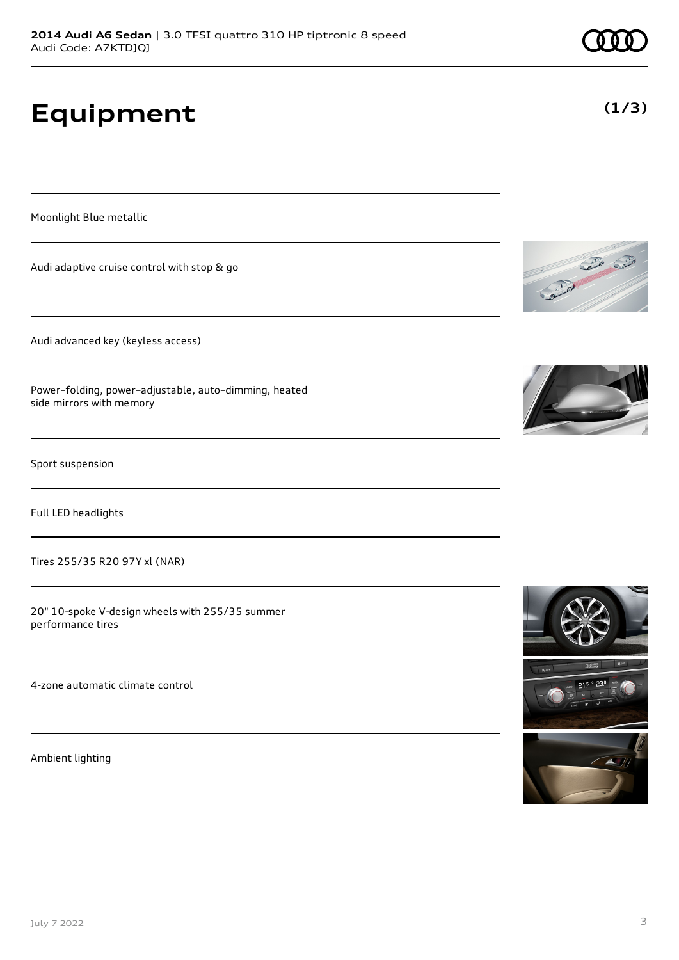Tires 255/35 R20 97Y xl (NAR)

20" 10-spoke V-design wheels with 255/35 summer performance tires

4-zone automatic climate control

Ambient lighting

# **Equipment**

Moonlight Blue metallic

Audi adaptive cruise control with stop & go

Audi advanced key (keyless access)

Power–folding, power–adjustable, auto–dimming, heated side mirrors with memory

Sport suspension

CONTROL CO







**(1/3)**

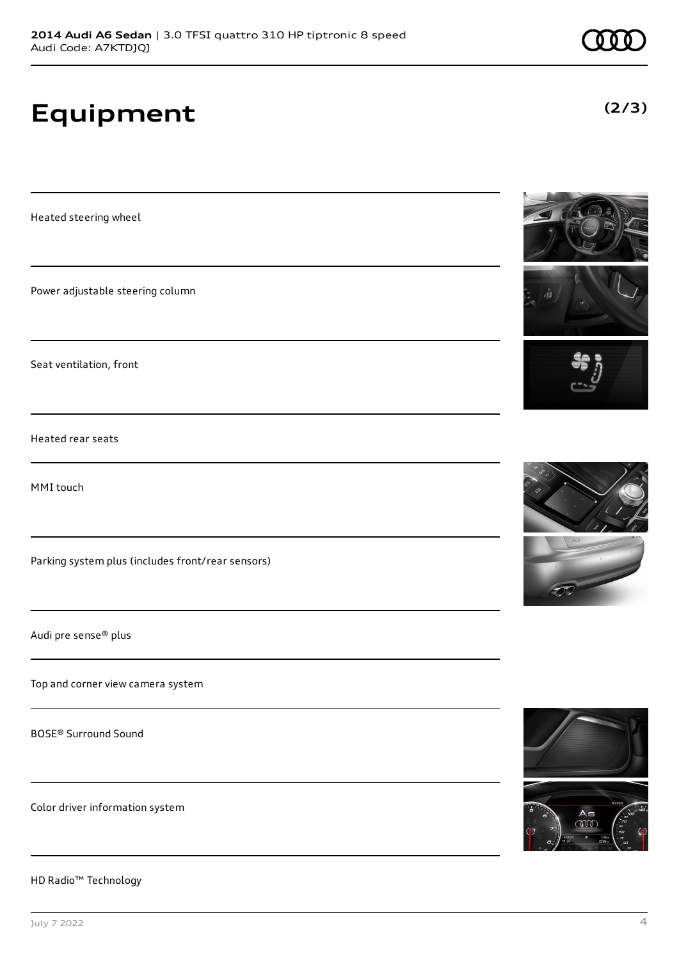# **Equipment**

Heated steering wheel

Power adjustable steering column

Seat ventilation, front

Heated rear seats

MMI touch

Parking system plus (includes front/rear sensors)

Audi pre sense® plus

Top and corner view camera system

BOSE® Surround Sound

Color driver information system

HD Radio™ Technology





**(2/3)**





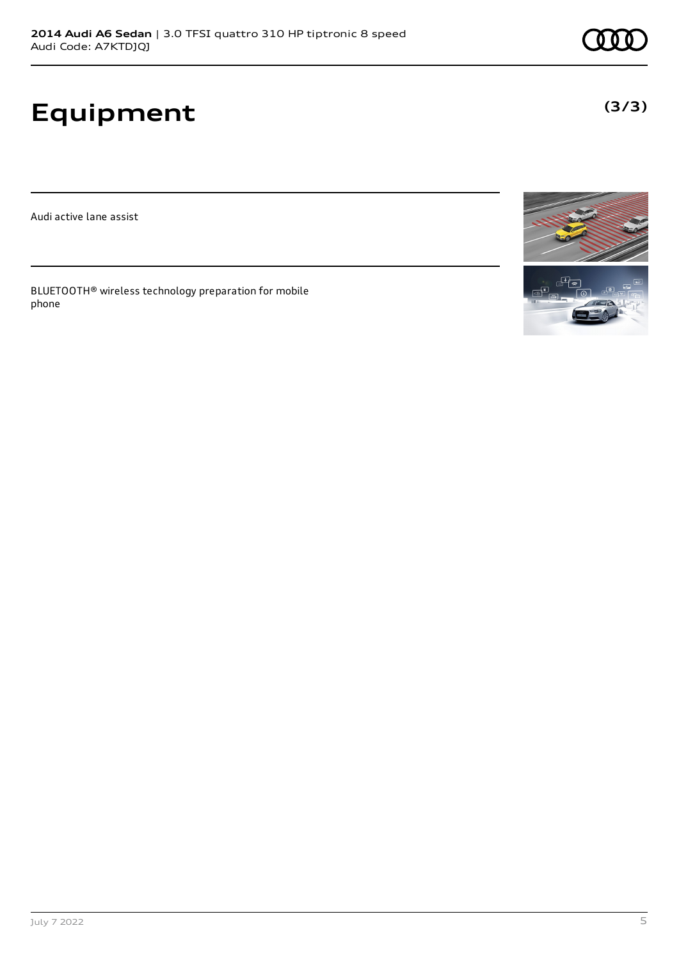# **Equipment**

Audi active lane assist

BLUETOOTH® wireless technology preparation for mobile phone





**(3/3)**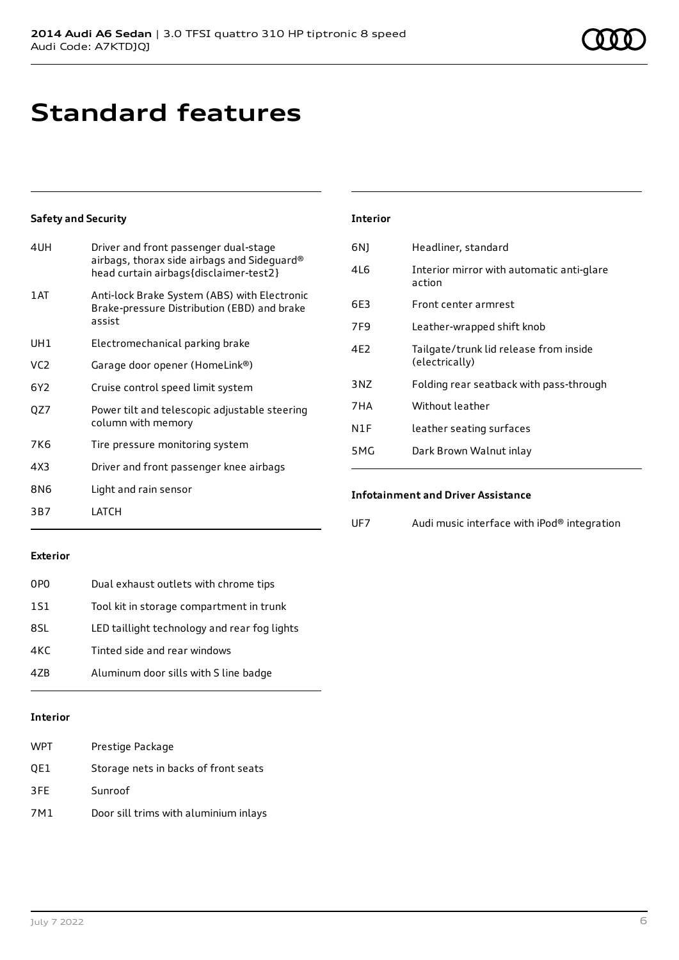# **Standard features**

#### **Safety and Security**

| 4UH             | Driver and front passenger dual-stage<br>airbags, thorax side airbags and Sideguard®<br>head curtain airbags{disclaimer-test2} |
|-----------------|--------------------------------------------------------------------------------------------------------------------------------|
| 1AT             | Anti-lock Brake System (ABS) with Electronic<br>Brake-pressure Distribution (EBD) and brake<br>assist                          |
| UH1             | Electromechanical parking brake                                                                                                |
| VC <sub>2</sub> | Garage door opener (HomeLink®)                                                                                                 |
| 6Y2             | Cruise control speed limit system                                                                                              |
| OZ7             | Power tilt and telescopic adjustable steering<br>column with memory                                                            |
| 7K6             | Tire pressure monitoring system                                                                                                |
| 4X3             | Driver and front passenger knee airbags                                                                                        |
| 8N6             | Light and rain sensor                                                                                                          |
| 3B7             | LATCH                                                                                                                          |

#### **Interior**

| 6N)             | Headliner, standard                                      |
|-----------------|----------------------------------------------------------|
| 4L6             | Interior mirror with automatic anti-glare<br>action      |
| 6E3             | Front center armrest                                     |
| 7F9             | Leather-wrapped shift knob                               |
| 4F <sub>2</sub> | Tailgate/trunk lid release from inside<br>(electrically) |
| 3N7             | Folding rear seatback with pass-through                  |
| 7HA             | Without leather                                          |
| N1F             | leather seating surfaces                                 |
| 5MG             | Dark Brown Walnut inlay                                  |
|                 |                                                          |

#### **Infotainment and Driver Assistance**

| UF7 | Audi music interface with iPod® integration |  |
|-----|---------------------------------------------|--|
|     |                                             |  |

#### **Exterior**

| 0PO        | Dual exhaust outlets with chrome tips        |
|------------|----------------------------------------------|
| <b>1S1</b> | Tool kit in storage compartment in trunk     |
| 8SL        | LED taillight technology and rear fog lights |
| 4KC        | Tinted side and rear windows                 |
| 47B        | Aluminum door sills with S line badge        |
|            |                                              |

#### **Interior**

| <b>WPT</b> | Prestige Package                      |
|------------|---------------------------------------|
| QE1        | Storage nets in backs of front seats  |
| 3FE        | Sunroof                               |
| 7M1        | Door sill trims with aluminium inlays |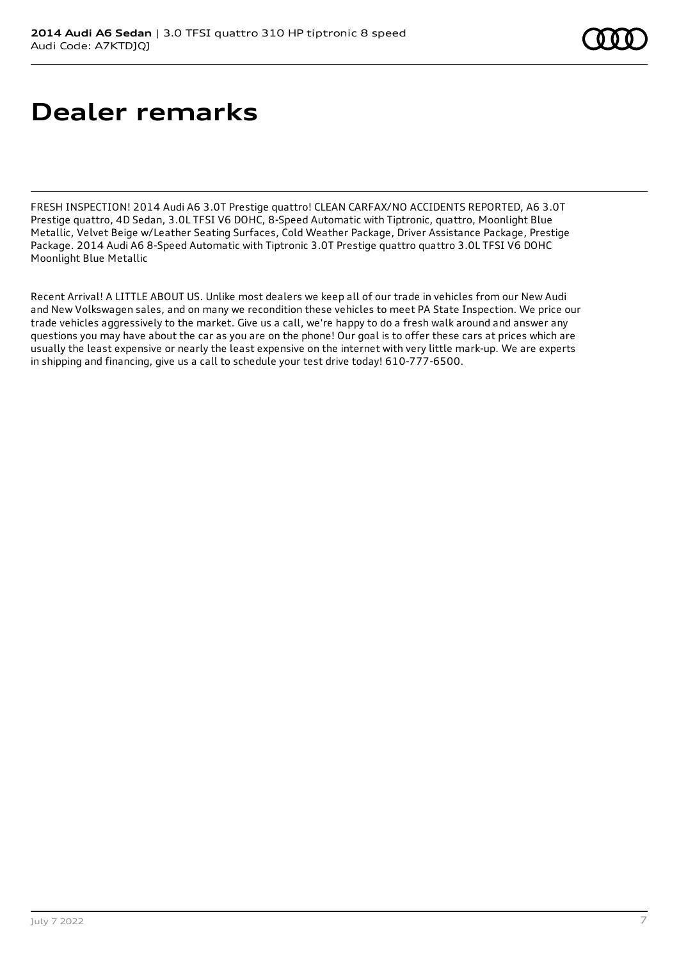# **Dealer remarks**

FRESH INSPECTION! 2014 Audi A6 3.0T Prestige quattro! CLEAN CARFAX/NO ACCIDENTS REPORTED, A6 3.0T Prestige quattro, 4D Sedan, 3.0L TFSI V6 DOHC, 8-Speed Automatic with Tiptronic, quattro, Moonlight Blue Metallic, Velvet Beige w/Leather Seating Surfaces, Cold Weather Package, Driver Assistance Package, Prestige Package. 2014 Audi A6 8-Speed Automatic with Tiptronic 3.0T Prestige quattro quattro 3.0L TFSI V6 DOHC Moonlight Blue Metallic

Recent Arrival! A LITTLE ABOUT US. Unlike most dealers we keep all of our trade in vehicles from our New Audi and New Volkswagen sales, and on many we recondition these vehicles to meet PA State Inspection. We price our trade vehicles aggressively to the market. Give us a call, we're happy to do a fresh walk around and answer any questions you may have about the car as you are on the phone! Our goal is to offer these cars at prices which are usually the least expensive or nearly the least expensive on the internet with very little mark-up. We are experts in shipping and financing, give us a call to schedule your test drive today! 610-777-6500.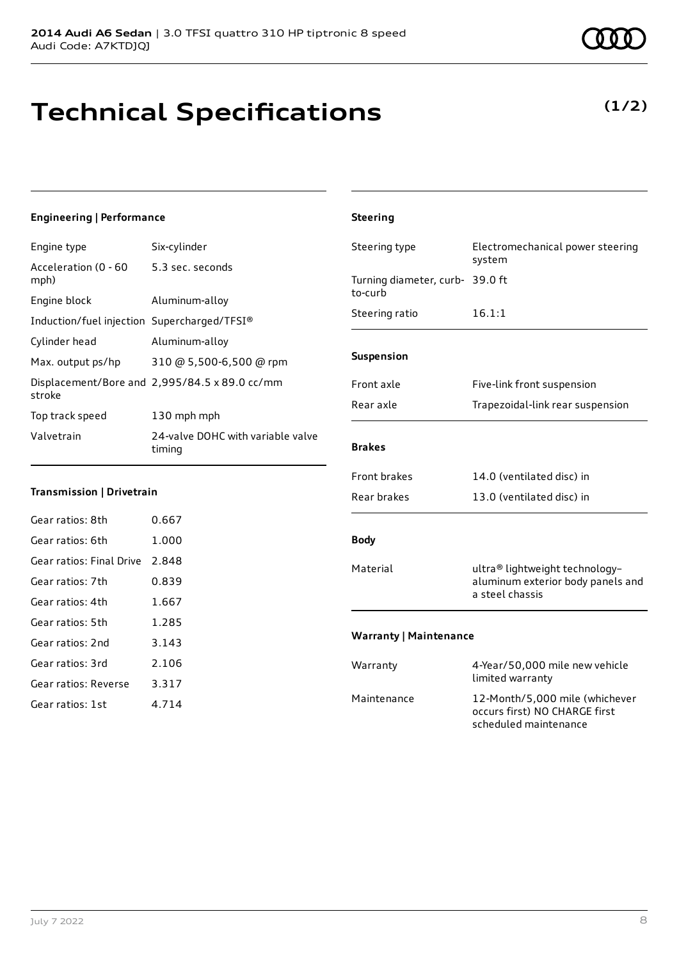# **Technical Specifications**

### **Engineering | Performance**

| Engine type                                 | Six-cylinder                                  |
|---------------------------------------------|-----------------------------------------------|
| Acceleration (0 - 60<br>mph)                | 5.3 sec. seconds                              |
| Engine block                                | Aluminum-alloy                                |
| Induction/fuel injection Supercharged/TFSI® |                                               |
| Cylinder head                               | Aluminum-alloy                                |
| Max. output ps/hp                           | 310 @ 5,500-6,500 @ rpm                       |
| stroke                                      | Displacement/Bore and 2,995/84.5 x 89.0 cc/mm |
| Top track speed                             | 130 mph mph                                   |
| Valvetrain                                  | 24-valve DOHC with variable valve<br>timing   |

#### **Transmission | Drivetrain**

| Gear ratios: 8th         | 0.667 |
|--------------------------|-------|
| Gear ratios: 6th         | 1.000 |
| Gear ratios: Final Drive | 2.848 |
| Gear ratios: 7th         | 0.839 |
| Gear ratios: 4th         | 1.667 |
| Gear ratios: 5th         | 1.285 |
| Gear ratios: 2nd         | 3.143 |
| Gear ratios: 3rd         | 2.106 |
| Gear ratios: Reverse     | 3.317 |
| Gear ratios: 1st         | 4 714 |

### **Steering** Steering type Electromechanical power steering system Turning diameter, curb-39.0 ft to-curb Steering ratio 16.1:1 **Suspension** Front axle Five-link front suspension Rear axle Trapezoidal-link rear suspension **Brakes** Front brakes 14.0 (ventilated disc) in Rear brakes 13.0 (ventilated disc) in **Body** Material ultra® lightweight technologyaluminum exterior body panels and a steel chassis **Warranty | Maintenance** Warranty 4-Year/50,000 mile new vehicle limited warranty Maintenance 12-Month/5,000 mile (whichever occurs first) NO CHARGE first

scheduled maintenance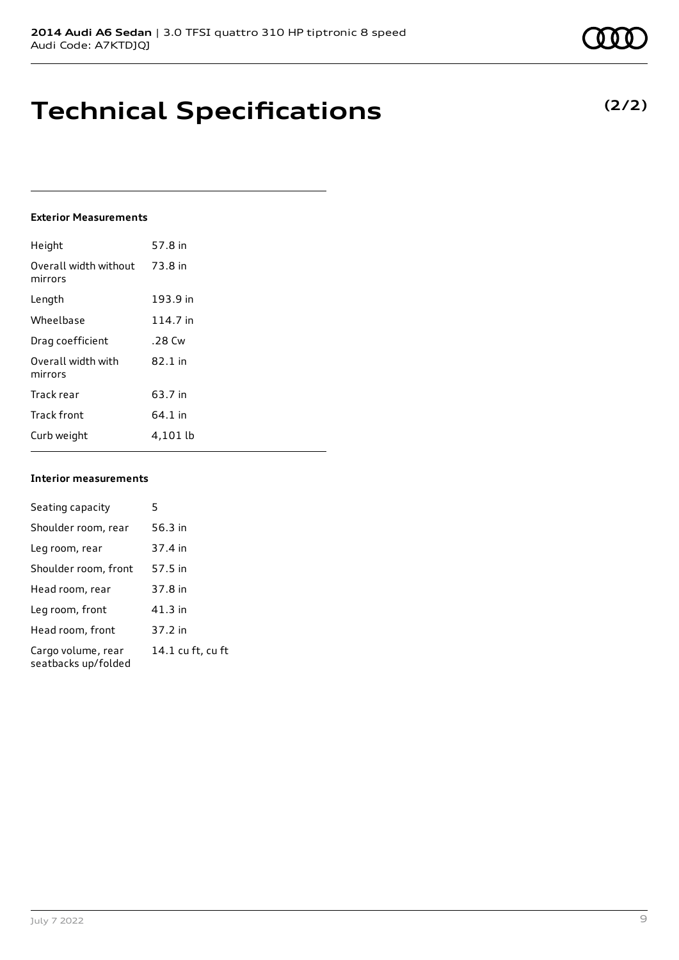## **Technical Specifications**

#### **Exterior Measurements**

| Height                           | 57.8 in   |
|----------------------------------|-----------|
| Overall width without<br>mirrors | 73.8 in   |
| Length                           | 193.9 in  |
| Wheelbase                        | 114.7 in  |
| Drag coefficient                 | .28 Cw    |
| Overall width with<br>mirrors    | $82.1$ in |
| Track rear                       | 63.7 in   |
| <b>Track front</b>               | 64.1 in   |
| Curb weight                      | 4,101 lb  |

#### **Interior measurements**

| Seating capacity                          | 5                 |
|-------------------------------------------|-------------------|
| Shoulder room, rear                       | 56.3 in           |
| Leg room, rear                            | 37.4 in           |
| Shoulder room, front                      | 57.5 in           |
| Head room, rear                           | 37.8 in           |
| Leg room, front                           | 41.3 in           |
| Head room, front                          | 37.2 in           |
| Cargo volume, rear<br>seatbacks up/folded | 14.1 cu ft, cu ft |

#### **(2/2)**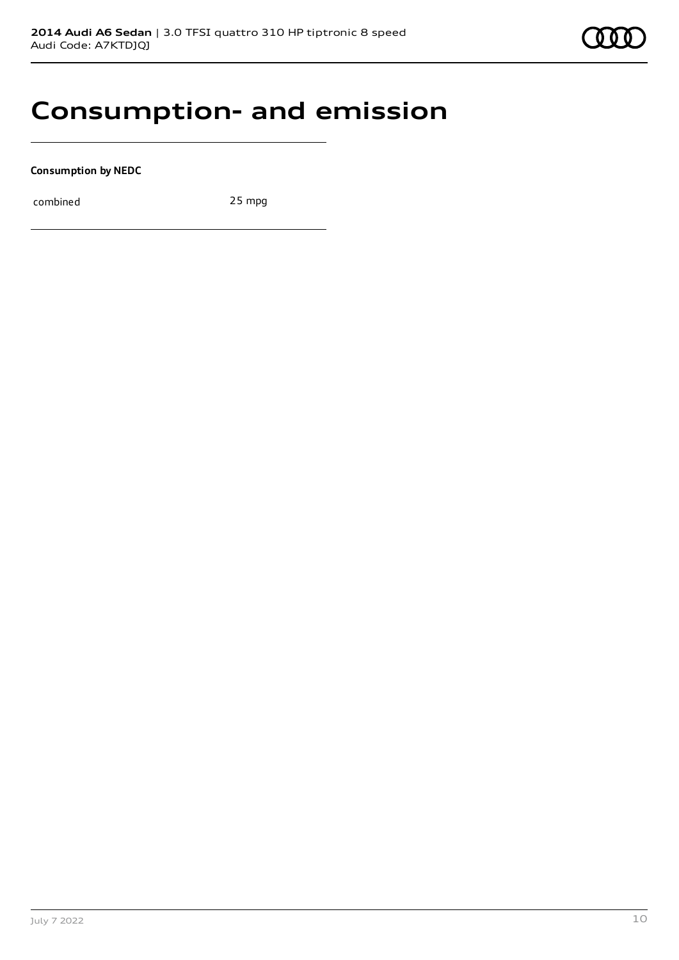

### **Consumption- and emission**

**Consumption by NEDC**

combined 25 mpg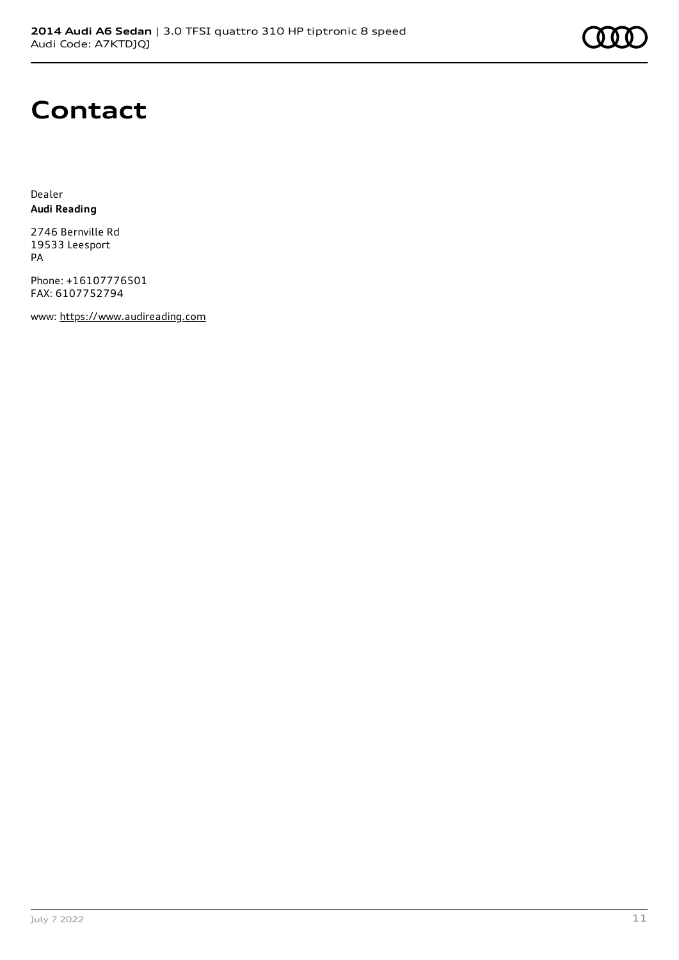

### **Contact**

Dealer **Audi Reading**

2746 Bernville Rd 19533 Leesport PA

Phone: +16107776501 FAX: 6107752794

www: [https://www.audireading.com](https://www.audireading.com/)